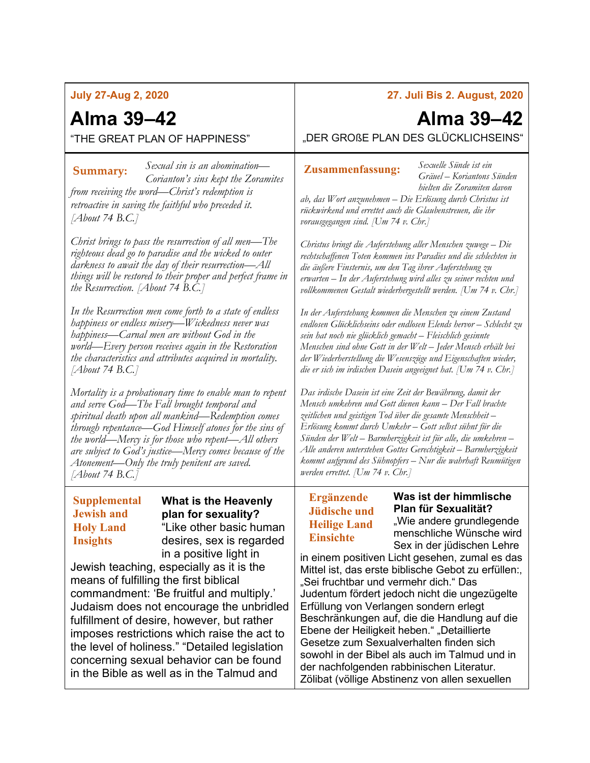#### **July 27-Aug 2, 2020**

## **Alma 39–42** "THE GREAT PLAN OF HAPPINESS"

*Sexual sin is an abomination— Corianton's sins kept the Zoramites from receiving the word—Christ's redemption is retroactive in saving the faithful who preceded it. [About 74 B.C.]* **Summary: Zusammenfassung:**

*Christ brings to pass the resurrection of all men—The righteous dead go to paradise and the wicked to outer darkness to await the day of their resurrection—All things will be restored to their proper and perfect frame in the Resurrection. [About 74 B.C.]*

*In the Resurrection men come forth to a state of endless happiness or endless misery—Wickedness never was happiness—Carnal men are without God in the world—Every person receives again in the Restoration the characteristics and attributes acquired in mortality. [About 74 B.C.]*

*Mortality is a probationary time to enable man to repent and serve God—The Fall brought temporal and spiritual death upon all mankind—Redemption comes through repentance—God Himself atones for the sins of the world—Mercy is for those who repent—All others are subject to God's justice—Mercy comes because of the Atonement—Only the truly penitent are saved. [About 74 B.C.]*

#### **Supplemental Jewish and Holy Land Insights**

**What is the Heavenly plan for sexuality?** "Like other basic human desires, sex is regarded in a positive light in

Jewish teaching, especially as it is the means of fulfilling the first biblical commandment: 'Be fruitful and multiply.' Judaism does not encourage the unbridled fulfillment of desire, however, but rather imposes restrictions which raise the act to the level of holiness." "Detailed legislation concerning sexual behavior can be found in the Bible as well as in the Talmud and

### **27. Juli Bis 2. August, 2020**

# **Alma 39–42**

"DER GROßE PLAN DES GLÜCKLICHSEINS"

*Sexuelle Sünde ist ein Gräuel – Koriantons Sünden hielten die Zoramiten davon* 

*ab, das Wort anzunehmen – Die Erlösung durch Christus ist rückwirkend und errettet auch die Glaubenstreuen, die ihr vorausgegangen sind. [Um 74 v. Chr.]*

*Christus bringt die Auferstehung aller Menschen zuwege – Die rechtschaffenen Toten kommen ins Paradies und die schlechten in die äußere Finsternis, um den Tag ihrer Auferstehung zu erwarten – In der Auferstehung wird alles zu seiner rechten und vollkommenen Gestalt wiederhergestellt werden. [Um 74 v. Chr.]*

*In der Auferstehung kommen die Menschen zu einem Zustand endlosen Glücklichseins oder endlosen Elends hervor – Schlecht zu sein hat noch nie glücklich gemacht – Fleischlich gesinnte Menschen sind ohne Gott in der Welt – Jeder Mensch erhält bei der Wiederherstellung die Wesenszüge und Eigenschaften wieder, die er sich im irdischen Dasein angeeignet hat. [Um 74 v. Chr.]*

*Das irdische Dasein ist eine Zeit der Bewährung, damit der Mensch umkehren und Gott dienen kann – Der Fall brachte zeitlichen und geistigen Tod über die gesamte Menschheit – Erlösung kommt durch Umkehr – Gott selbst sühnt für die Sünden der Welt – Barmherzigkeit ist für alle, die umkehren – Alle anderen unterstehen Gottes Gerechtigkeit – Barmherzigkeit kommt aufgrund des Sühnopfers – Nur die wahrhaft Reumütigen werden errettet. [Um 74 v. Chr.]*

#### **Ergänzende Jüdische und Heilige Land Einsichte**

**Was ist der himmlische Plan für Sexualität?** "Wie andere grundlegende menschliche Wünsche wird Sex in der jüdischen Lehre

in einem positiven Licht gesehen, zumal es das Mittel ist, das erste biblische Gebot zu erfüllen:, "Sei fruchtbar und vermehr dich." Das Judentum fördert jedoch nicht die ungezügelte Erfüllung von Verlangen sondern erlegt Beschränkungen auf, die die Handlung auf die Ebene der Heiligkeit heben." "Detaillierte Gesetze zum Sexualverhalten finden sich sowohl in der Bibel als auch im Talmud und in der nachfolgenden rabbinischen Literatur. Zölibat (völlige Abstinenz von allen sexuellen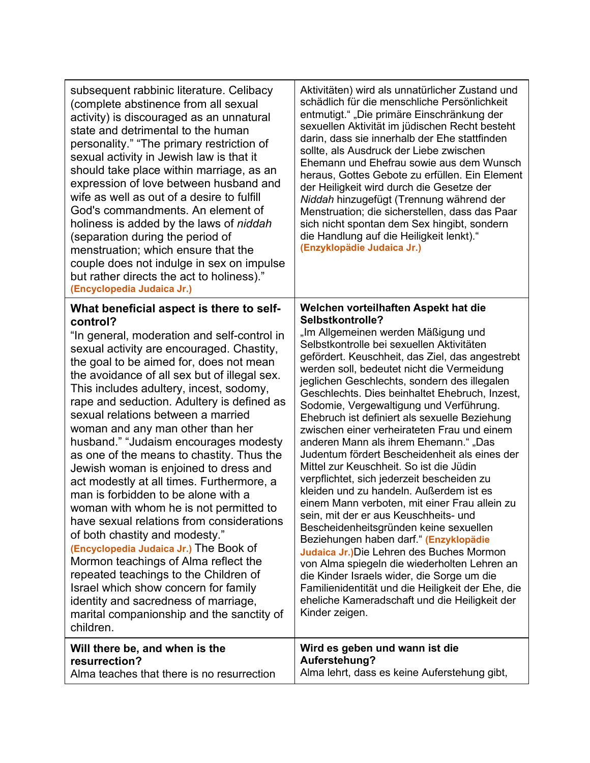| subsequent rabbinic literature. Celibacy<br>(complete abstinence from all sexual<br>activity) is discouraged as an unnatural<br>state and detrimental to the human<br>personality." "The primary restriction of<br>sexual activity in Jewish law is that it<br>should take place within marriage, as an<br>expression of love between husband and<br>wife as well as out of a desire to fulfill<br>God's commandments. An element of<br>holiness is added by the laws of niddah<br>(separation during the period of<br>menstruation; which ensure that the<br>couple does not indulge in sex on impulse<br>but rather directs the act to holiness)."<br>(Encyclopedia Judaica Jr.)                                                                                                                                                                                                                                                                                                                                              | Aktivitäten) wird als unnatürlicher Zustand und<br>schädlich für die menschliche Persönlichkeit<br>entmutigt." "Die primäre Einschränkung der<br>sexuellen Aktivität im jüdischen Recht besteht<br>darin, dass sie innerhalb der Ehe stattfinden<br>sollte, als Ausdruck der Liebe zwischen<br>Ehemann und Ehefrau sowie aus dem Wunsch<br>heraus, Gottes Gebote zu erfüllen. Ein Element<br>der Heiligkeit wird durch die Gesetze der<br>Niddah hinzugefügt (Trennung während der<br>Menstruation; die sicherstellen, dass das Paar<br>sich nicht spontan dem Sex hingibt, sondern<br>die Handlung auf die Heiligkeit lenkt)."<br>(Enzyklopädie Judaica Jr.)                                                                                                                                                                                                                                                                                                                                                                                                                                                                                                             |
|---------------------------------------------------------------------------------------------------------------------------------------------------------------------------------------------------------------------------------------------------------------------------------------------------------------------------------------------------------------------------------------------------------------------------------------------------------------------------------------------------------------------------------------------------------------------------------------------------------------------------------------------------------------------------------------------------------------------------------------------------------------------------------------------------------------------------------------------------------------------------------------------------------------------------------------------------------------------------------------------------------------------------------|---------------------------------------------------------------------------------------------------------------------------------------------------------------------------------------------------------------------------------------------------------------------------------------------------------------------------------------------------------------------------------------------------------------------------------------------------------------------------------------------------------------------------------------------------------------------------------------------------------------------------------------------------------------------------------------------------------------------------------------------------------------------------------------------------------------------------------------------------------------------------------------------------------------------------------------------------------------------------------------------------------------------------------------------------------------------------------------------------------------------------------------------------------------------------|
| What beneficial aspect is there to self-<br>control?<br>"In general, moderation and self-control in<br>sexual activity are encouraged. Chastity,<br>the goal to be aimed for, does not mean<br>the avoidance of all sex but of illegal sex.<br>This includes adultery, incest, sodomy,<br>rape and seduction. Adultery is defined as<br>sexual relations between a married<br>woman and any man other than her<br>husband." "Judaism encourages modesty<br>as one of the means to chastity. Thus the<br>Jewish woman is enjoined to dress and<br>act modestly at all times. Furthermore, a<br>man is forbidden to be alone with a<br>woman with whom he is not permitted to<br>have sexual relations from considerations<br>of both chastity and modesty."<br>(Encyclopedia Judaica Jr.) The Book of<br>Mormon teachings of Alma reflect the<br>repeated teachings to the Children of<br>Israel which show concern for family<br>identity and sacredness of marriage,<br>marital companionship and the sanctity of<br>children. | Welchen vorteilhaften Aspekt hat die<br>Selbstkontrolle?<br>"Im Allgemeinen werden Mäßigung und<br>Selbstkontrolle bei sexuellen Aktivitäten<br>gefördert. Keuschheit, das Ziel, das angestrebt<br>werden soll, bedeutet nicht die Vermeidung<br>jeglichen Geschlechts, sondern des illegalen<br>Geschlechts. Dies beinhaltet Ehebruch, Inzest,<br>Sodomie, Vergewaltigung und Verführung.<br>Ehebruch ist definiert als sexuelle Beziehung<br>zwischen einer verheirateten Frau und einem<br>anderen Mann als ihrem Ehemann." "Das<br>Judentum fördert Bescheidenheit als eines der<br>Mittel zur Keuschheit. So ist die Jüdin<br>verpflichtet, sich jederzeit bescheiden zu<br>kleiden und zu handeln. Außerdem ist es<br>einem Mann verboten, mit einer Frau allein zu<br>sein, mit der er aus Keuschheits- und<br>Bescheidenheitsgründen keine sexuellen<br>Beziehungen haben darf." (Enzyklopädie<br>Judaica Jr.) Die Lehren des Buches Mormon<br>von Alma spiegeln die wiederholten Lehren an<br>die Kinder Israels wider, die Sorge um die<br>Familienidentität und die Heiligkeit der Ehe, die<br>eheliche Kameradschaft und die Heiligkeit der<br>Kinder zeigen. |
| Will there be, and when is the<br>resurrection?<br>Alma teaches that there is no resurrection                                                                                                                                                                                                                                                                                                                                                                                                                                                                                                                                                                                                                                                                                                                                                                                                                                                                                                                                   | Wird es geben und wann ist die<br>Auferstehung?<br>Alma lehrt, dass es keine Auferstehung gibt,                                                                                                                                                                                                                                                                                                                                                                                                                                                                                                                                                                                                                                                                                                                                                                                                                                                                                                                                                                                                                                                                           |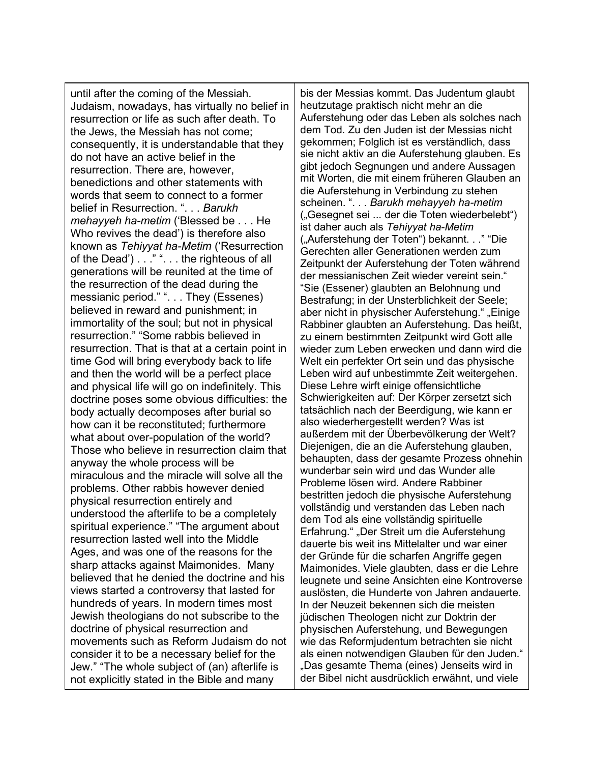until after the coming of the Messiah. Judaism, nowadays, has virtually no belief in resurrection or life as such after death. To the Jews, the Messiah has not come; consequently, it is understandable that they do not have an active belief in the resurrection. There are, however, benedictions and other statements with words that seem to connect to a former belief in Resurrection. ". . . *Barukh mehayyeh ha-metim* ('Blessed be . . . He Who revives the dead') is therefore also known as *Tehiyyat ha-Metim* ('Resurrection of the Dead') . . . " ". . . the righteous of all generations will be reunited at the time of the resurrection of the dead during the messianic period." ". . . They (Essenes) believed in reward and punishment; in immortality of the soul; but not in physical resurrection." "Some rabbis believed in resurrection. That is that at a certain point in time God will bring everybody back to life and then the world will be a perfect place and physical life will go on indefinitely. This doctrine poses some obvious difficulties: the body actually decomposes after burial so how can it be reconstituted; furthermore what about over-population of the world? Those who believe in resurrection claim that anyway the whole process will be miraculous and the miracle will solve all the problems. Other rabbis however denied physical resurrection entirely and understood the afterlife to be a completely spiritual experience." "The argument about resurrection lasted well into the Middle Ages, and was one of the reasons for the sharp attacks against Maimonides. Many believed that he denied the doctrine and his views started a controversy that lasted for hundreds of years. In modern times most Jewish theologians do not subscribe to the doctrine of physical resurrection and movements such as Reform Judaism do not consider it to be a necessary belief for the Jew." "The whole subject of (an) afterlife is not explicitly stated in the Bible and many

bis der Messias kommt. Das Judentum glaubt heutzutage praktisch nicht mehr an die Auferstehung oder das Leben als solches nach dem Tod. Zu den Juden ist der Messias nicht gekommen; Folglich ist es verständlich, dass sie nicht aktiv an die Auferstehung glauben. Es gibt jedoch Segnungen und andere Aussagen mit Worten, die mit einem früheren Glauben an die Auferstehung in Verbindung zu stehen scheinen. ". . . *Barukh mehayyeh ha-metim* ("Gesegnet sei ... der die Toten wiederbelebt") ist daher auch als *Tehiyyat ha-Metim* ("Auferstehung der Toten") bekannt. . ." "Die Gerechten aller Generationen werden zum Zeitpunkt der Auferstehung der Toten während der messianischen Zeit wieder vereint sein." "Sie (Essener) glaubten an Belohnung und Bestrafung; in der Unsterblichkeit der Seele; aber nicht in physischer Auferstehung." "Einige Rabbiner glaubten an Auferstehung. Das heißt, zu einem bestimmten Zeitpunkt wird Gott alle wieder zum Leben erwecken und dann wird die Welt ein perfekter Ort sein und das physische Leben wird auf unbestimmte Zeit weitergehen. Diese Lehre wirft einige offensichtliche Schwierigkeiten auf: Der Körper zersetzt sich tatsächlich nach der Beerdigung, wie kann er also wiederhergestellt werden? Was ist außerdem mit der Überbevölkerung der Welt? Diejenigen, die an die Auferstehung glauben, behaupten, dass der gesamte Prozess ohnehin wunderbar sein wird und das Wunder alle Probleme lösen wird. Andere Rabbiner bestritten jedoch die physische Auferstehung vollständig und verstanden das Leben nach dem Tod als eine vollständig spirituelle Erfahrung." "Der Streit um die Auferstehung dauerte bis weit ins Mittelalter und war einer der Gründe für die scharfen Angriffe gegen Maimonides. Viele glaubten, dass er die Lehre leugnete und seine Ansichten eine Kontroverse auslösten, die Hunderte von Jahren andauerte. In der Neuzeit bekennen sich die meisten jüdischen Theologen nicht zur Doktrin der physischen Auferstehung, und Bewegungen wie das Reformjudentum betrachten sie nicht als einen notwendigen Glauben für den Juden." "Das gesamte Thema (eines) Jenseits wird in der Bibel nicht ausdrücklich erwähnt, und viele